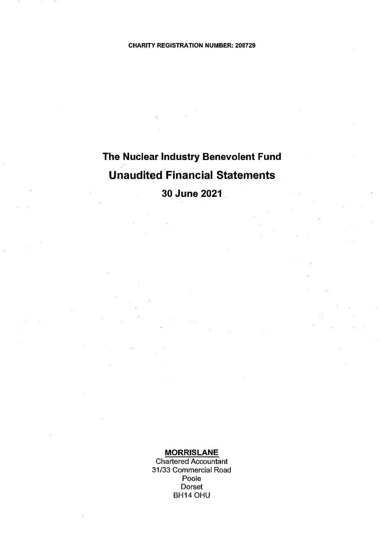# **The Nuclear Industry Benevolent Fund Unaudited Financial Statements**

**30 June 2021** 

### **MORRIS LANE**

Chartered Accountant 31/33 Commercial Road Poole Dorset BH14 OHU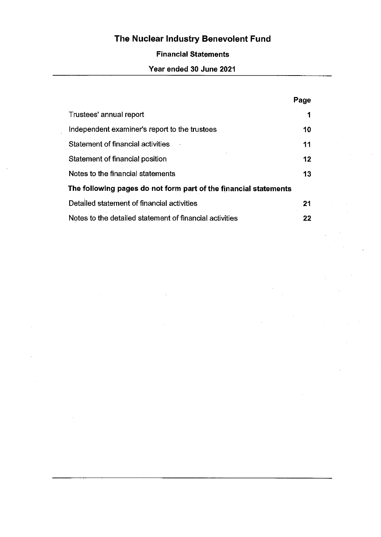## **Financial Statements**

## Year ended 30 June 2021

|                                                                  | Page |
|------------------------------------------------------------------|------|
| Trustees' annual report                                          | 1    |
| Independent examiner's report to the trustees                    | 10   |
| Statement of financial activities                                | 11   |
| Statement of financial position                                  | 12   |
| Notes to the financial statements                                | 13   |
| The following pages do not form part of the financial statements |      |
| Detailed statement of financial activities                       | 21   |
| Notes to the detailed statement of financial activities          | 22   |

 $\mathcal{A}^{\mathcal{A}}$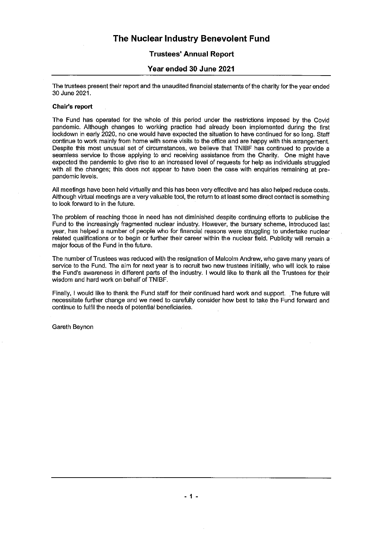### **Trustees' Annual Report**

### Year ended 30 June 2021

The trustees present their report and the unaudited financial statements of the charity for the vear ended 30 June 2021.

### **Chair's report**

The Fund has operated for the whole of this period under the restrictions imposed by the Covid pandemic. Although changes to working practice had already been implemented during the first lockdown in early 2020, no one would have expected the situation to have continued for so long. Staff continue to work mainly from home with some visits to the office and are happy with this arrangement. Despite this most unusual set of circumstances, we believe that TNIBF has continued to provide a seamless service to those applying to and receiving assistance from the Charity. One might have expected the pandemic to give rise to an increased level of requests for help as individuals struggled with all the changes; this does not appear to have been the case with enquiries remaining at prepandemic levels.

All meetings have been held virtually and this has been very effective and has also helped reduce costs. Although virtual meetings are a very valuable tool, the return to at least some direct contact is something to look forward to in the future.

The problem of reaching those in need has not diminished despite continuing efforts to publicise the Fund to the increasingly fragmented nuclear industry. However, the bursary scheme, introduced last year, has helped a number of people who for financial reasons were struggling to undertake nuclear related qualifications or to begin or further their career within the nuclear field. Publicity will remain a major focus of the Fund in the future.

The number of Trustees was reduced with the resignation of Malcolm Andrew, who gave many years of service to the Fund. The aim for next year is to recruit two new trustees initially, who will look to raise the Fund's awareness in different parts of the industry. I would like to thank all the Trustees for their wisdom and hard work on behalf of TNIBF.

Finally, I would like to thank the Fund staff for their continued hard work and support. The future will necessitate further change and we need to carefully consider how best to take the Fund forward and continue to fulfil the needs of potential beneficiaries.

Gareth Beynon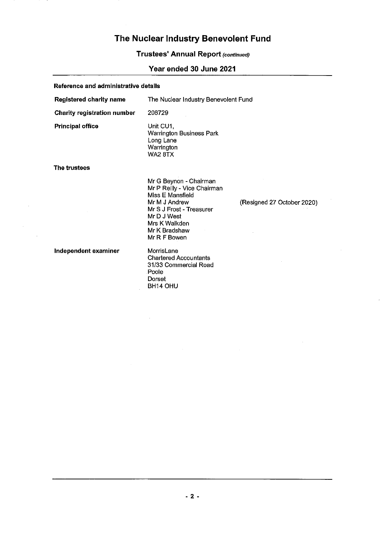## **Trustees' Annual Report (continued)**

## Year ended 30 June 2021

| Reference and administrative details |                                                                                                                                                                                         |                            |
|--------------------------------------|-----------------------------------------------------------------------------------------------------------------------------------------------------------------------------------------|----------------------------|
| <b>Registered charity name</b>       | The Nuclear Industry Benevolent Fund                                                                                                                                                    |                            |
| <b>Charity registration number</b>   | 208729                                                                                                                                                                                  |                            |
| <b>Principal office</b>              | Unit CU1,<br><b>Warrington Business Park</b><br>Long Lane<br>Warrington<br><b>WA2 8TX</b>                                                                                               |                            |
| The trustees                         |                                                                                                                                                                                         |                            |
|                                      | Mr G Beynon - Chairman<br>Mr P Reilly - Vice Chairman<br>Miss E Mansfield<br>Mr M J Andrew<br>Mr S J Frost - Treasurer<br>Mr D J West<br>Mrs K Walkden<br>Mr K Bradshaw<br>Mr R F Bowen | (Resigned 27 October 2020) |
| Independent examiner                 | MorrisLane<br><b>Chartered Accountants</b><br>31/33 Commercial Road<br>Poole<br>Dorset<br><b>BH14 OHU</b>                                                                               |                            |

l,

 $\mathcal{A}^{\mathcal{A}}$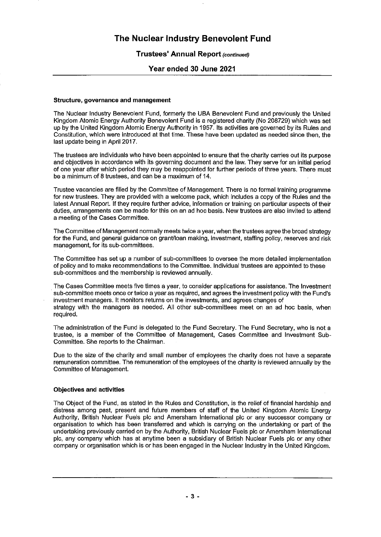### **Trustees' Annual Report (continued)**

### Year ended 30 June 2021

### Structure, governance and management

The Nuclear Industry Benevolent Fund, formerly the UBA Benevolent Fund and previously the United Kingdom Atomic Energy Authority Benevolent Fund is a registered charity (No 208729) which was set up by the United Kingdom Atomic Energy Authority in 1957. Its activities are governed by its Rules and Constitution, which were introduced at that time. These have been updated as needed since then, the last update being in April 2017.

The trustees are individuals who have been appointed to ensure that the charity carries out its purpose and objectives in accordance with its governing document and the law. They serve for an initial period of one year after which period they may be reappointed for further periods of three years. There must be a minimum of 8 trustees, and can be a maximum of 14.

Trustee vacancies are filled by the Committee of Management. There is no formal training programme for new trustees. They are provided with a welcome pack, which includes a copy of the Rules and the latest Annual Report. If they require further advice, information or training on particular aspects of their duties, arrangements can be made for this on an ad hoc basis. New trustees are also invited to attend a meeting of the Cases Committee.

The Committee of Management normally meets twice a year, when the trustees agree the broad strategy for the Fund, and general guidance on grant/loan making, investment, staffing policy, reserves and risk management, for its sub-committees.

The Committee has set up a number of sub-committees to oversee the more detailed implementation of policy and to make recommendations to the Committee. Individual trustees are appointed to these sub-committees and the membership is reviewed annually.

The Cases Committee meets five times a year, to consider applications for assistance. The Investment sub-committee meets once or twice a year as required, and agrees the investment policy with the Fund's investment managers. It monitors returns on the investments, and agrees changes of strategy with the managers as needed. All other sub-committees meet on an ad hoc basis, when required.

The administration of the Fund is delegated to the Fund Secretary. The Fund Secretary, who is not a trustee, is a member of the Committee of Management, Cases Committee and Investment Sub-Committee. She reports to the Chairman.

Due to the size of the charity and small number of employees the charity does not have a separate remuneration committee. The remuneration of the employees of the charity is reviewed annually by the Committee of Management.

### **Objectives and activities**

The Object of the Fund, as stated in the Rules and Constitution, is the relief of financial hardship and distress among past, present and future members of staff of the United Kingdom Atomic Energy Authority, British Nuclear Fuels plc and Amersham International plc or any successor company or organisation to which has been transferred and which is carrying on the undertaking or part of the undertaking previously carried on by the Authority, British Nuclear Fuels plc or Amersham International plc, any company which has at anytime been a subsidiary of British Nuclear Fuels plc or any other company or organisation which is or has been engaged in the Nuclear Industry in the United Kingdom.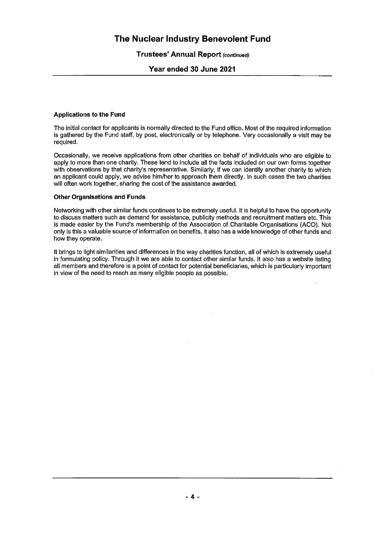### **Trustees' Annual Report (continued)**

### Year ended 30 June 2021

### **Applications to the Fund**

The initial contact for applicants is normally directed to the Fund office. Most of the required information is gathered by the Fund staff, by post, electronically or by telephone. Very occasionally a visit may be required.

Occasionally, we receive applications from other charities on behalf of individuals who are eligible to apply to more than one charity. These tend to include all the facts included on our own forms together with observations by that charity's representative. Similarly, if we can identify another charity to which an applicant could apply, we advise him/her to approach them directly. In such cases the two charities will often work together, sharing the cost of the assistance awarded.

### **Other Organisations and Funds**

Networking with other similar funds continues to be extremely useful. It is helpful to have the opportunity to discuss matters such as demand for assistance, publicity methods and recruitment matters etc. This is made easier by the Fund's membership of the Association of Charitable Organisations (ACO). Not only is this a valuable source of information on benefits, it also has a wide knowledge of other funds and how they operate.

It brings to light similarities and differences in the way charities function, all of which is extremely useful in formulating policy. Through it we are able to contact other similar funds. It also has a website listing all members and therefore is a point of contact for potential beneficiaries, which is particularly important in view of the need to reach as many eligible people as possible.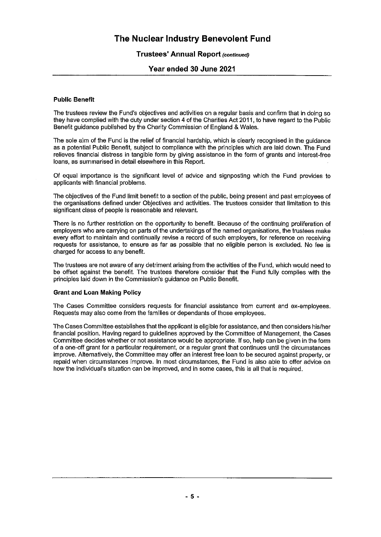### **Trustees' Annual Report (continued)**

### Year ended 30 June 2021

### **Public Benefit**

The trustees review the Fund's objectives and activities on a regular basis and confirm that in doing so they have complied with the duty under section 4 of the Charities Act 2011, to have regard to the Public Benefit guidance published by the Charity Commission of England & Wales.

The sole aim of the Fund is the relief of financial hardship, which is clearly recognised in the quidance as a potential Public Benefit, subject to compliance with the principles which are laid down. The Fund relieves financial distress in tangible form by giving assistance in the form of grants and interest-free loans, as summarised in detail elsewhere in this Report.

Of equal importance is the significant level of advice and signposting which the Fund provides to applicants with financial problems.

The objectives of the Fund limit benefit to a section of the public, being present and past employees of the organisations defined under Objectives and activities. The trustees consider that limitation to this significant class of people is reasonable and relevant.

There is no further restriction on the opportunity to benefit. Because of the continuing proliferation of employers who are carrying on parts of the undertakings of the named organisations, the trustees make every effort to maintain and continually revise a record of such employers, for reference on receiving requests for assistance, to ensure as far as possible that no eligible person is excluded. No fee is charged for access to any benefit.

The trustees are not aware of any detriment arising from the activities of the Fund, which would need to be offset against the benefit. The trustees therefore consider that the Fund fully complies with the principles laid down in the Commission's guidance on Public Benefit.

### **Grant and Loan Making Policy**

The Cases Committee considers requests for financial assistance from current and ex-employees. Requests may also come from the families or dependants of those employees.

The Cases Committee establishes that the applicant is eligible for assistance, and then considers his/her financial position. Having regard to quidelines approved by the Committee of Management, the Cases Committee decides whether or not assistance would be appropriate. If so, help can be given in the form of a one-off grant for a particular requirement, or a regular grant that continues until the circumstances improve. Alternatively, the Committee may offer an interest free loan to be secured against property, or repaid when circumstances improve. In most circumstances, the Fund is also able to offer advice on how the individual's situation can be improved, and in some cases, this is all that is required.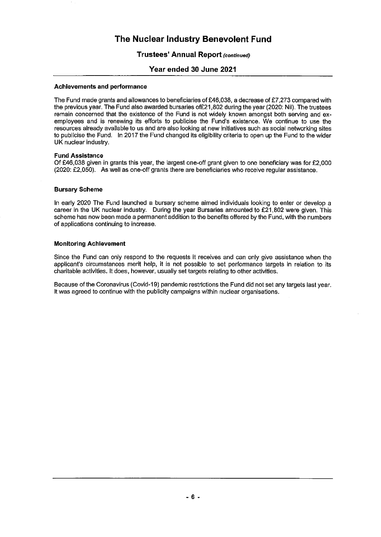### **Trustees' Annual Report (continued)**

### Year ended 30 June 2021

### **Achievements and performance**

The Fund made grants and allowances to beneficiaries of £46,038, a decrease of £7,273 compared with the previous year. The Fund also awarded bursaries of £21,802 during the year (2020: Nil). The trustees remain concerned that the existence of the Fund is not widely known amongst both serving and exemployees and is renewing its efforts to publicise the Fund's existence. We continue to use the resources already available to us and are also looking at new initiatives such as social networking sites to publicise the Fund. In 2017 the Fund changed its eligibility criteria to open up the Fund to the wider UK nuclear industry.

### **Fund Assistance**

Of £46,038 given in grants this year, the largest one-off grant given to one beneficiary was for £2,000 (2020: £2,050). As well as one-off grants there are beneficiaries who receive regular assistance.

### **Bursary Scheme**

In early 2020 The Fund launched a bursary scheme aimed individuals looking to enter or develop a career in the UK nuclear industry. During the year Bursaries amounted to £21,802 were given. This scheme has now been made a permanent addition to the benefits offered by the Fund, with the numbers of applications continuing to increase.

### **Monitoring Achievement**

Since the Fund can only respond to the requests it receives and can only give assistance when the applicant's circumstances merit help, it is not possible to set performance targets in relation to its charitable activities. It does, however, usually set targets relating to other activities.

Because of the Coronavirus (Covid-19) pandemic restrictions the Fund did not set any targets last year. It was agreed to continue with the publicity campaigns within nuclear organisations.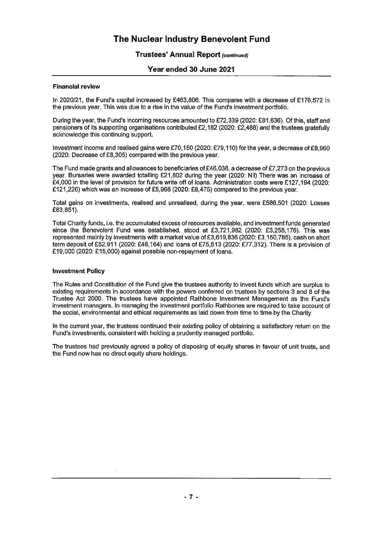### **Trustees' Annual Report (continued)**

### Year ended 30 June 2021

### **Financial review**

In 2020/21, the Fund's capital increased by £463,806. This compares with a decrease of £176,572 in the previous year. This was due to a rise in the value of the Fund's investment portfolio.

During the year, the Fund's incoming resources amounted to £72.339 (2020; £81.636). Of this, staff and pensioners of its supporting organisations contributed £2,182 (2020: £2,488) and the trustees gratefully acknowledge this continuing support.

Investment income and realised gains were £70,150 (2020: £79,110) for the year, a decrease of £8,960 (2020: Decrease of £8,305) compared with the previous year.

The Fund made grants and allowances to beneficiaries of £46,038, a decrease of £7,273 on the previous year. Bursaries were awarded totalling £21,802 during the year (2020: Nil) There was an increase of £4,000 in the level of provision for future write off of loans. Administration costs were £127,194 (2020: £121,226) which was an increase of £5,968 (2020: £8,475) compared to the previous year.

Total gains on investments, realised and unrealised, during the year, were £586,501 (2020: Losses £83.851).

Total Charity funds, i.e. the accumulated excess of resources available, and investment funds generated since the Benevolent Fund was established, stood at £3,721,982 (2020: £3,258,176). This was represented mainly by investments with a market value of £3,619,836 (2020: £3,150,785), cash on short term deposit of £52,911 (2020: £48,164) and loans of £75,613 (2020: £77,312). There is a provision of £19,000 (2020: £15,000) against possible non-repayment of loans.

### **Investment Policy**

The Rules and Constitution of the Fund give the trustees authority to invest funds which are surplus to existing requirements in accordance with the powers conferred on trustees by sections 3 and 8 of the Trustee Act 2000. The trustees have appointed Rathbone Investment Management as the Fund's investment managers. In managing the investment portfolio Rathbones are required to take account of the social, environmental and ethical requirements as laid down from time to time by the Charity

In the current year, the trustees continued their existing policy of obtaining a satisfactory return on the Fund's investments, consistent with holding a prudently managed portfolio.

The trustees had previously agreed a policy of disposing of equity shares in favour of unit trusts, and the Fund now has no direct equity share holdings.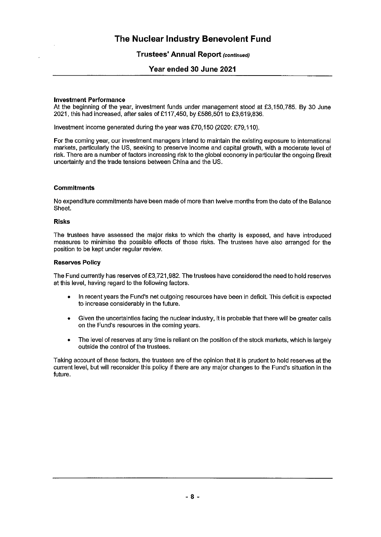### **Trustees' Annual Report (continued)**

### Year ended 30 June 2021

### **Investment Performance**

At the beginning of the year, investment funds under management stood at £3,150,785. By 30 June 2021, this had increased, after sales of £117,450, by £586,501 to £3,619,836.

Investment income generated during the year was £70,150 (2020: £79,110).

For the coming year, our investment managers intend to maintain the existing exposure to international markets, particularly the US, seeking to preserve income and capital growth, with a moderate level of risk. There are a number of factors increasing risk to the global economy in particular the ongoing Brexit uncertainty and the trade tensions between China and the US.

### **Commitments**

No expenditure commitments have been made of more than twelve months from the date of the Balance Sheet.

### **Risks**

The trustees have assessed the major risks to which the charity is exposed, and have introduced measures to minimise the possible effects of those risks. The trustees have also arranged for the position to be kept under regular review.

### **Reserves Policy**

The Fund currently has reserves of £3,721,982. The trustees have considered the need to hold reserves at this level, having regard to the following factors.

- In recent years the Fund's net outgoing resources have been in deficit. This deficit is expected  $\bullet$ to increase considerably in the future.
- Given the uncertainties facing the nuclear industry, it is probable that there will be greater calls  $\bullet$ on the Fund's resources in the coming years.
- The level of reserves at any time is reliant on the position of the stock markets, which is largely  $\bullet$ outside the control of the trustees.

Taking account of these factors, the trustees are of the opinion that it is prudent to hold reserves at the current level, but will reconsider this policy if there are any major changes to the Fund's situation in the future.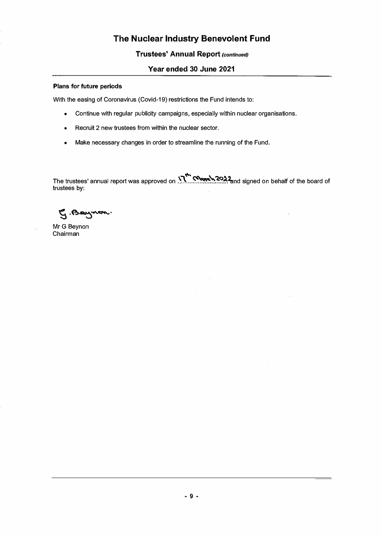### **Trustees' Annual Report** *(continued)*

### **Year ended 30 June 2021**

### **Plans for future periods**

With the easing of Coronavirus (Covid-19) restrictions the Fund intends to:

- Continue with regular publicity campaigns, especially within nuclear organisations.
- Recruit 2 new trustees from within the nuclear sector.
- Make necessary changes in order to streamline the running of the Fund.

e<br>" The trustees' annual report was approved on **\_\1 ....** ���:?:��:l<!md signed on behalf of the board of trustees by:

G. Baynon.

MrG Beynon Chairman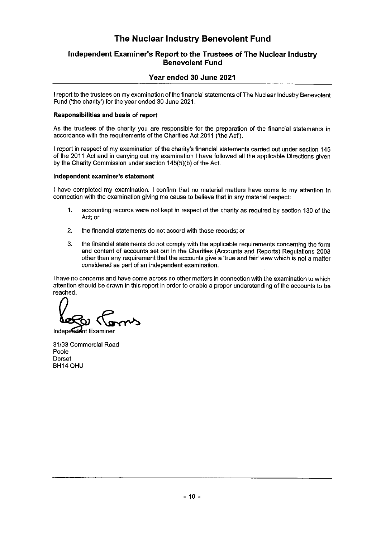### Independent Examiner's Report to the Trustees of The Nuclear Industry **Benevolent Fund**

### Year ended 30 June 2021

I report to the trustees on my examination of the financial statements of The Nuclear Industry Benevolent Fund ('the charity') for the year ended 30 June 2021.

### **Responsibilities and basis of report**

As the trustees of the charity you are responsible for the preparation of the financial statements in accordance with the requirements of the Charities Act 2011 ('the Act').

I report in respect of my examination of the charity's financial statements carried out under section 145 of the 2011 Act and in carrying out my examination I have followed all the applicable Directions given by the Charity Commission under section 145(5)(b) of the Act.

### Independent examiner's statement

I have completed my examination. I confirm that no material matters have come to my attention in connection with the examination giving me cause to believe that in any material respect:

- $1.$ accounting records were not kept in respect of the charity as required by section 130 of the Act: or
- $2.$ the financial statements do not accord with those records; or
- 3. the financial statements do not comply with the applicable requirements concerning the form and content of accounts set out in the Charities (Accounts and Reports) Regulations 2008 other than any requirement that the accounts give a 'true and fair' view which is not a matter considered as part of an independent examination.

I have no concerns and have come across no other matters in connection with the examination to which attention should be drawn in this report in order to enable a proper understanding of the accounts to be reached.

Independent Examiner

31/33 Commercial Road Poole Dorset BH14 OHU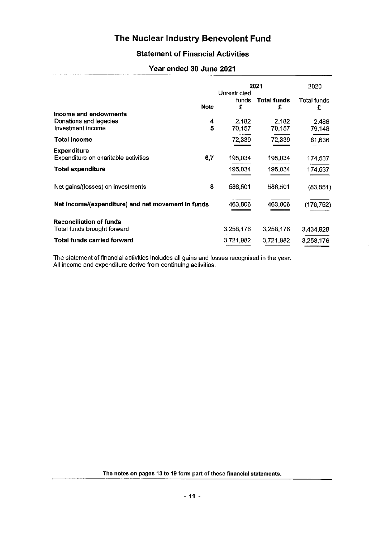## **Statement of Financial Activities**

### Year ended 30 June 2021

|                                                                      | 2021        |                            | 2020                    |                         |
|----------------------------------------------------------------------|-------------|----------------------------|-------------------------|-------------------------|
|                                                                      | <b>Note</b> | Unrestricted<br>funds<br>£ | <b>Total funds</b><br>£ | <b>Total funds</b><br>£ |
| Income and endowments<br>Donations and legacies<br>Investment income | 4<br>5      | 2,182<br>70,157            | 2,182<br>70,157         | 2,488<br>79,148         |
| <b>Total income</b>                                                  |             | 72,339                     | 72,339                  | 81,636                  |
| <b>Expenditure</b><br>Expenditure on charitable activities           | 6,7         | 195,034                    | 195,034                 | 174,537                 |
| <b>Total expenditure</b>                                             |             | 195,034                    | 195,034                 | 174,537                 |
| Net gains/(losses) on investments                                    | 8           | 586,501                    | 586,501                 | (83, 851)               |
| Net income/(expenditure) and net movement in funds                   |             | 463,806                    | 463,806                 | 176,752)                |
| <b>Reconciliation of funds</b><br>Total funds brought forward        |             | 3,258,176                  | 3,258,176               | 3,434,928               |
| <b>Total funds carried forward</b>                                   |             | 3,721,982                  | 3,721,982               | 3,258,176               |

The statement of financial activities includes all gains and losses recognised in the year. All income and expenditure derive from continuing activities.

The notes on pages 13 to 19 form part of these financial statements.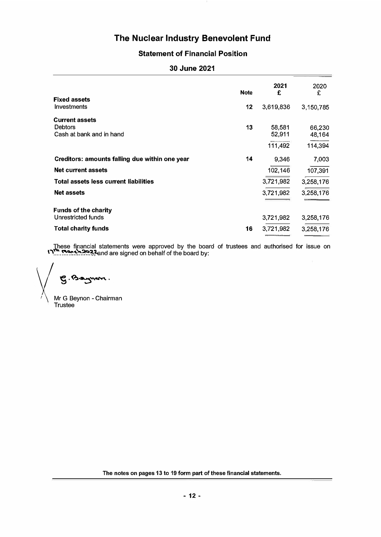## **Statement of Financial Position**

|                                                                     | <b>Note</b> | 2021<br>£        | 2020<br>£        |
|---------------------------------------------------------------------|-------------|------------------|------------------|
| <b>Fixed assets</b><br><b>Investments</b>                           | 12          | 3,619,836        | 3,150,785        |
| <b>Current assets</b><br><b>Debtors</b><br>Cash at bank and in hand | 13          | 58,581<br>52,911 | 66,230<br>48,164 |
| Creditors: amounts falling due within one year                      | 14          | 111,492<br>9,346 | 114,394<br>7,003 |
| <b>Net current assets</b>                                           |             | 102,146          | 107,391          |
| Total assets less current liabilities                               |             | 3,721,982        | 3,258,176        |
| <b>Net assets</b>                                                   |             | 3,721,982        | 3,258,176        |
| <b>Funds of the charity</b><br>Unrestricted funds                   |             | 3,721,982        | 3,258,176        |
| <b>Total charity funds</b>                                          | 16          | 3,721,982        | 3,258,176        |

These financial statements were approved by the board of trustees and authorised for issue on **1"\"."..��:r,.':-:-:�.'�,�nd** are signed on behalf of the board by:

 $\sqrt{g\cdot v\cdot\sin v\cdot}$ 

Mr G Beynon - Chairman **Trustee** 

**The notes on pages 13 to 19 form part of these financial statements.**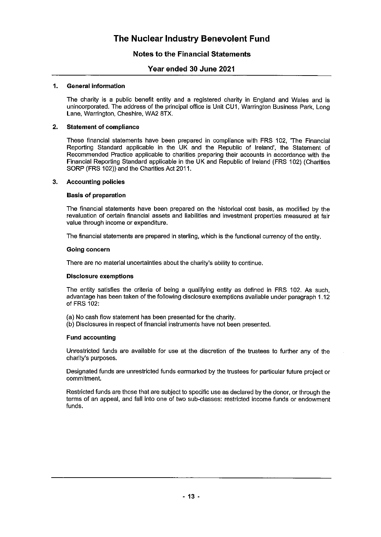### **Notes to the Financial Statements**

### Year ended 30 June 2021

#### 1. **General information**

The charity is a public benefit entity and a registered charity in England and Wales and is unincorporated. The address of the principal office is Unit CU1, Warrington Business Park, Long Lane, Warrington, Cheshire, WA2 8TX.

#### $2.$ **Statement of compliance**

These financial statements have been prepared in compliance with FRS 102, 'The Financial Reporting Standard applicable in the UK and the Republic of Ireland', the Statement of Recommended Practice applicable to charities preparing their accounts in accordance with the Financial Reporting Standard applicable in the UK and Republic of Ireland (FRS 102) (Charities SORP (FRS 102)) and the Charities Act 2011.

#### $3.$ **Accounting policies**

### **Basis of preparation**

The financial statements have been prepared on the historical cost basis, as modified by the revaluation of certain financial assets and liabilities and investment properties measured at fair value through income or expenditure.

The financial statements are prepared in sterling, which is the functional currency of the entity,

### Going concern

There are no material uncertainties about the charity's ability to continue.

### **Disclosure exemptions**

The entity satisfies the criteria of being a qualifying entity as defined in FRS 102. As such, advantage has been taken of the following disclosure exemptions available under paragraph 1.12 of FRS 102:

(a) No cash flow statement has been presented for the charity.

(b) Disclosures in respect of financial instruments have not been presented.

### **Fund accounting**

Unrestricted funds are available for use at the discretion of the trustees to further any of the charity's purposes.

Designated funds are unrestricted funds earmarked by the trustees for particular future project or commitment.

Restricted funds are those that are subject to specific use as declared by the donor, or through the terms of an appeal, and fall into one of two sub-classes: restricted income funds or endowment funds.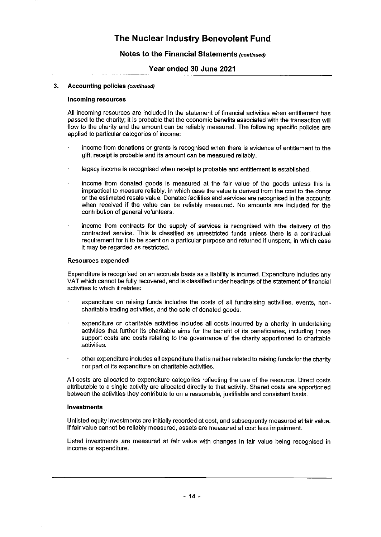### Notes to the Financial Statements (continued)

### Year ended 30 June 2021

#### 3. **Accounting policies (continued)**

### **Incoming resources**

All incoming resources are included in the statement of financial activities when entitlement has passed to the charity; it is probable that the economic benefits associated with the transaction will flow to the charity and the amount can be reliably measured. The following specific policies are applied to particular categories of income:

- income from donations or grants is recognised when there is evidence of entitlement to the gift, receipt is probable and its amount can be measured reliably.
- legacy income is recognised when receipt is probable and entitlement is established.
- income from donated goods is measured at the fair value of the goods unless this is impractical to measure reliably, in which case the value is derived from the cost to the donor or the estimated resale value. Donated facilities and services are recognised in the accounts when received if the value can be reliably measured. No amounts are included for the contribution of general volunteers.
- income from contracts for the supply of services is recognised with the delivery of the contracted service. This is classified as unrestricted funds unless there is a contractual requirement for it to be spent on a particular purpose and returned if unspent, in which case it may be regarded as restricted.

### **Resources expended**

Expenditure is recognised on an accruals basis as a liability is incurred. Expenditure includes any VAT which cannot be fully recovered, and is classified under headings of the statement of financial activities to which it relates:

- expenditure on raising funds includes the costs of all fundraising activities, events, noncharitable trading activities, and the sale of donated goods.
- expenditure on charitable activities includes all costs incurred by a charity in undertaking activities that further its charitable aims for the benefit of its beneficiaries, including those support costs and costs relating to the governance of the charity apportioned to charitable activities.
- other expenditure includes all expenditure that is neither related to raising funds for the charity nor part of its expenditure on charitable activities.

All costs are allocated to expenditure categories reflecting the use of the resource. Direct costs attributable to a single activity are allocated directly to that activity. Shared costs are apportioned between the activities they contribute to on a reasonable, justifiable and consistent basis.

### Investments

Unlisted equity investments are initially recorded at cost, and subsequently measured at fair value. If fair value cannot be reliably measured, assets are measured at cost less impairment.

Listed investments are measured at fair value with changes in fair value being recognised in income or expenditure.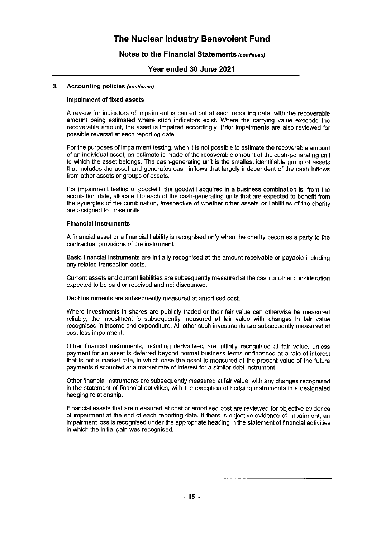### Notes to the Financial Statements (continued)

### Year ended 30 June 2021

#### **Accounting policies (continued)**  $\mathbf{a}$

### **Impairment of fixed assets**

A review for indicators of impairment is carried out at each reporting date, with the recoverable amount being estimated where such indicators exist. Where the carrying value exceeds the recoverable amount, the asset is impaired accordingly. Prior impairments are also reviewed for possible reversal at each reporting date.

For the purposes of impairment testing, when it is not possible to estimate the recoverable amount of an individual asset, an estimate is made of the recoverable amount of the cash-generating unit to which the asset belongs. The cash-generating unit is the smallest identifiable group of assets that includes the asset and generates cash inflows that largely independent of the cash inflows from other assets or groups of assets.

For impairment testing of goodwill, the goodwill acquired in a business combination is, from the acquisition date, allocated to each of the cash-generating units that are expected to benefit from the synergies of the combination, irrespective of whether other assets or liabilities of the charity are assigned to those units.

### **Financial instruments**

A financial asset or a financial liability is recognised only when the charity becomes a party to the contractual provisions of the instrument.

Basic financial instruments are initially recognised at the amount receivable or payable including any related transaction costs.

Current assets and current liabilities are subsequently measured at the cash or other consideration expected to be paid or received and not discounted.

Debt instruments are subsequently measured at amortised cost.

Where investments in shares are publicly traded or their fair value can otherwise be measured reliably, the investment is subsequently measured at fair value with changes in fair value recognised in income and expenditure. All other such investments are subsequently measured at cost less impairment.

Other financial instruments, including derivatives, are initially recognised at fair value, unless payment for an asset is deferred beyond normal business terms or financed at a rate of interest that is not a market rate, in which case the asset is measured at the present value of the future payments discounted at a market rate of interest for a similar debt instrument.

Other financial instruments are subsequently measured at fair value, with any changes recognised in the statement of financial activities, with the exception of hedging instruments in a designated hedging relationship.

Financial assets that are measured at cost or amortised cost are reviewed for objective evidence of impairment at the end of each reporting date. If there is objective evidence of impairment, an impairment loss is recognised under the appropriate heading in the statement of financial activities in which the initial gain was recognised.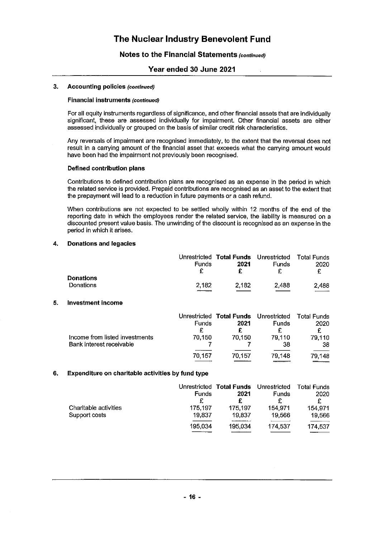### Notes to the Financial Statements (continued)

### Year ended 30 June 2021

#### $3.$ **Accounting policies (continued)**

### **Financial instruments (continued)**

For all equity instruments regardless of significance, and other financial assets that are individually significant, these are assessed individually for impairment. Other financial assets are either assessed individually or grouped on the basis of similar credit risk characteristics.

Any reversals of impairment are recognised immediately, to the extent that the reversal does not result in a carrying amount of the financial asset that exceeds what the carrying amount would have been had the impairment not previously been recognised.

### Defined contribution plans

Contributions to defined contribution plans are recognised as an expense in the period in which the related service is provided. Prepaid contributions are recognised as an asset to the extent that the prepayment will lead to a reduction in future payments or a cash refund.

When contributions are not expected to be settled wholly within 12 months of the end of the reporting date in which the employees render the related service, the liability is measured on a discounted present value basis. The unwinding of the discount is recognised as an expense in the period in which it arises.

#### 4. **Donations and legacies**

|                  |              | Unrestricted Total Funds Unrestricted Total Funds |       |       |
|------------------|--------------|---------------------------------------------------|-------|-------|
|                  | <b>Funds</b> | 2021                                              | Funds | 2020  |
|                  |              |                                                   |       | £     |
| <b>Donations</b> |              |                                                   |       |       |
| Donations        | 2.182        | 2.182                                             | 2.488 | 2.488 |
|                  |              |                                                   |       |       |

#### 5. **Investment income**

|                                | Funds  | Unrestricted Total Funds Unrestricted<br>2021 | <b>Funds</b> | <b>Total Funds</b><br>2020 |
|--------------------------------|--------|-----------------------------------------------|--------------|----------------------------|
| Income from listed investments | 70.150 | 70.150                                        | 79.110       | 79,110                     |
| Bank interest receivable       |        |                                               | 38           | 38                         |
|                                | 70.157 | 70.157                                        | 79.148       | 79,148                     |

#### Expenditure on charitable activities by fund type 6.

|                       | <b>Funds</b> | Unrestricted Total Funds Unrestricted<br>2021 | Funds   | <b>Total Funds</b><br>2020<br>£ |
|-----------------------|--------------|-----------------------------------------------|---------|---------------------------------|
| Charitable activities | 175.197      | 175,197                                       | 154.971 | 154.971                         |
| Support costs         | 19.837       | 19,837                                        | 19.566  | 19.566                          |
|                       | 195.034      | 195.034                                       | 174.537 | 174,537                         |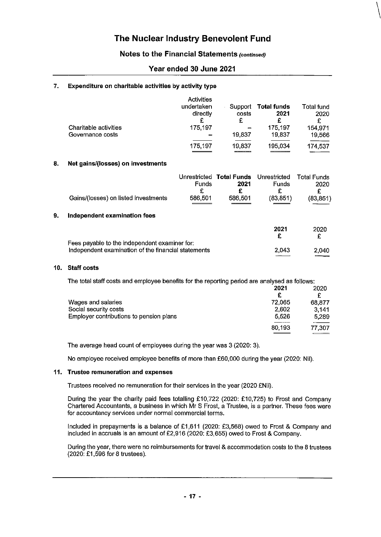### Notes to the Financial Statements (continued)

### Year ended 30 June 2021

#### 7. Expenditure on charitable activities by activity type

|                       | <b>Activities</b><br>undertaken<br>directly<br>£ | Support<br>costs | Total funds<br>2021 | Total fund<br>2020<br>£ |
|-----------------------|--------------------------------------------------|------------------|---------------------|-------------------------|
| Charitable activities | 175,197                                          | -                | 175,197             | 154.971                 |
| Governance costs      | $\overline{\phantom{a}}$                         | 19,837           | 19.837              | 19,566                  |
|                       | 175,197                                          | 19,837           | 195,034             | 174,537                 |

#### 8. Net gains/(losses) on investments

|                                                     | <b>Funds</b><br>£ | Unrestricted Total Funds Unrestricted<br>2021<br>£ | <b>Funds</b><br>£ | <b>Total Funds</b><br>2020<br>£ |
|-----------------------------------------------------|-------------------|----------------------------------------------------|-------------------|---------------------------------|
| Gains/(losses) on listed investments                | 586,501           | 586,501                                            | (83,851)          | (83, 851)                       |
|                                                     |                   |                                                    |                   |                                 |
| Independent examination fees                        |                   |                                                    |                   |                                 |
|                                                     |                   |                                                    | 2021<br>£         | 2020<br>£                       |
| Fees payable to the independent examiner for:       |                   |                                                    |                   |                                 |
| Independent examination of the financial statements |                   |                                                    | 2,043             | 2.040                           |
|                                                     |                   |                                                    |                   |                                 |

### 10. Staff costs

9.

|                                         | The total staff costs and employee benefits for the reporting period are analysed as follows: |        |
|-----------------------------------------|-----------------------------------------------------------------------------------------------|--------|
|                                         | 2021                                                                                          | 2020   |
|                                         | £                                                                                             |        |
| Wages and salaries                      | 72.065                                                                                        | 68,877 |
| Social security costs                   | 2.602                                                                                         | 3.141  |
| Employer contributions to pension plans | 5.526                                                                                         | 5,289  |
|                                         | 80,193                                                                                        | 77,307 |
|                                         |                                                                                               |        |

The average head count of employees during the year was 3 (2020: 3).

No employee received employee benefits of more than £60,000 during the year (2020: Nil).

### 11. Trustee remuneration and expenses

Trustees received no remuneration for their services in the year (2020 £Nil).

During the year the charity paid fees totalling £10,722 (2020: £10,725) to Frost and Company Chartered Accountants, a business in which Mr S Frost, a Trustee, is a partner. These fees were for accountancy services under normal commercial terms.

Included in prepayments is a balance of £1,611 (2020: £3,568) owed to Frost & Company and included in accruals is an amount of £2,916 (2020: £3,655) owed to Frost & Company.

During the year, there were no reimbursements for travel & accommodation costs to the 8 trustees (2020: £1,596 for 8 trustees).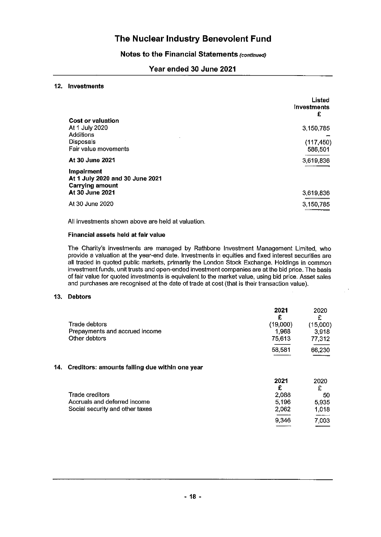### Notes to the Financial Statements (continued)

### Year ended 30 June 2021

### 12. Investments

|                                                                         | Listed<br>investments<br>£ |
|-------------------------------------------------------------------------|----------------------------|
| <b>Cost or valuation</b>                                                |                            |
| At 1 July 2020                                                          | 3,150,785                  |
| Additions                                                               |                            |
| Disposals                                                               | (117, 450)                 |
| Fair value movements                                                    | 586,501                    |
| At 30 June 2021                                                         | 3,619,836                  |
| Impairment<br>At 1 July 2020 and 30 June 2021<br><b>Carrying amount</b> |                            |
| At 30 June 2021                                                         | 3,619,836                  |
| At 30 June 2020                                                         | 3,150,785                  |

All investments shown above are held at valuation.

### Financial assets held at fair value

The Charity's investments are managed by Rathbone Investment Management Limited, who provide a valuation at the year-end date. Investments in equities and fixed interest securities are all traded in quoted public markets, primarily the London Stock Exchange. Holdings in common investment funds, unit trusts and open-ended investment companies are at the bid price. The basis of fair value for quoted investments is equivalent to the market value, using bid price. Asset sales and purchases are recognised at the date of trade at cost (that is their transaction value).

### 13. Debtors

14.

|                                                | 2021<br>£ | 2020<br>£ |
|------------------------------------------------|-----------|-----------|
| Trade debtors                                  | (19,000)  | (15,000)  |
| Prepayments and accrued income                 | 1,968     | 3,918     |
| Other debtors                                  | 75,613    | 77,312    |
|                                                | 58,581    | 66,230    |
| Creditors: amounts falling due within one year |           |           |
|                                                | 2021<br>£ | 2020<br>£ |
| Trade creditors                                | 2.088     | 50        |

| Trade creditors                 | 2.088 | 50    |
|---------------------------------|-------|-------|
| Accruals and deferred income    | 5.196 | 5.935 |
| Social security and other taxes | 2.062 | 1.018 |
|                                 | 9.346 | 7.003 |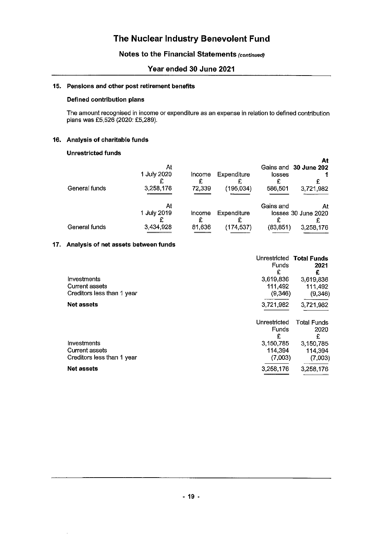### Notes to the Financial Statements (continued)

### Year ended 30 June 2021

### 15. Pensions and other post retirement benefits

### Defined contribution plans

The amount recognised in income or expenditure as an expense in relation to defined contribution plans was £5,526 (2020: £5,289).

### 16. Analysis of charitable funds

### **Unrestricted funds**

|               |             |        |             |           | At                    |
|---------------|-------------|--------|-------------|-----------|-----------------------|
|               | At          |        |             |           | Gains and 30 June 202 |
|               | 1 July 2020 | Income | Expenditure | losses    |                       |
|               |             |        |             |           |                       |
| General funds | 3,258,176   | 72,339 | (195,034)   | 586,501   | 3,721,982             |
|               |             |        |             |           |                       |
|               | At          |        |             | Gains and | At                    |
|               | 1 July 2019 | Income | Expenditure |           | losses 30 June 2020   |
|               |             |        |             |           |                       |
| General funds | 3,434,928   | 81,636 | (174,537)   | (83, 851) | 3,258,176             |
|               |             |        |             |           |                       |

### 17. Analysis of net assets between funds

|                                                                    | Funds<br>£                      | Unrestricted Total Funds<br>2021<br>£ |
|--------------------------------------------------------------------|---------------------------------|---------------------------------------|
| Investments<br><b>Current assets</b><br>Creditors less than 1 year | 3,619,836<br>111.492<br>(9,346) | 3,619,836<br>111,492<br>(9, 346)      |
| <b>Net assets</b>                                                  | 3721,982                        | 3,721,982                             |
|                                                                    | Unrestricted<br>Funds<br>£      | <b>Total Funds</b><br>2020<br>£       |
| Investments<br><b>Current assets</b><br>Creditors less than 1 year | 3,150,785<br>114,394<br>(7,003) | 3,150,785<br>114,394<br>(7,003)       |
| <b>Net assets</b>                                                  | 3,258,176                       | 3,258,176                             |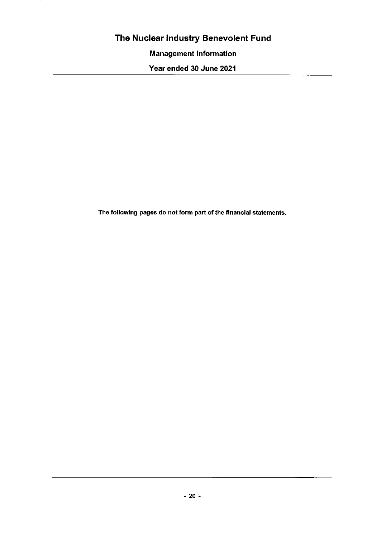**Management Information** 

Year ended 30 June 2021

The following pages do not form part of the financial statements.

 $\sim 10$ 

 $\bar{z}$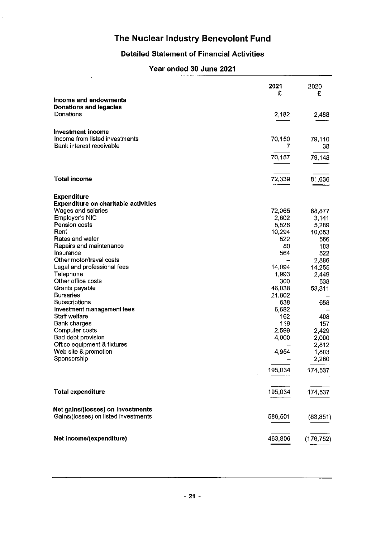## **Detailed Statement of Financial Activities**

# Year ended 30 June 2021

|                                                                   | 2021<br>£    | 2020<br>£     |
|-------------------------------------------------------------------|--------------|---------------|
| Income and endowments<br><b>Donations and legacies</b>            |              |               |
| Donations                                                         | 2,182        | 2,488         |
| <b>Investment income</b>                                          |              |               |
| Income from listed investments<br>Bank interest receivable        | 70,150<br>7  | 79,110<br>38  |
|                                                                   | 70,157       | 79,148        |
| <b>Total income</b>                                               | 72,339       | 81,636        |
| <b>Expenditure</b><br><b>Expenditure on charitable activities</b> |              |               |
| Wages and salaries                                                | 72,065       | 68,877        |
| <b>Employer's NIC</b>                                             | 2,602        | 3,141         |
| Pension costs                                                     | 5,526        | 5,289         |
| Rent                                                              | 10,294       |               |
| Rates and water                                                   | 522          | 10,053<br>566 |
| Repairs and maintenance                                           | 80           | 103           |
| Insurance                                                         | 564          | 522           |
| Other motor/travel costs                                          |              | 2,886         |
| Legal and professional fees                                       | 14,094       | 14,255        |
| Telephone                                                         | 1,993        | 2,449         |
| Other office costs                                                | 300          |               |
| Grants payable                                                    | 46,038       | 538           |
| <b>Bursaries</b>                                                  | 21,802       | 53,311        |
| Subscriptions                                                     | 638          |               |
| Investment management fees                                        |              | 658           |
| Staff welfare                                                     | 6,682<br>162 |               |
| Bank charges                                                      | 119          | 408           |
| Computer costs                                                    | 2,599        | 157           |
| Bad debt provision                                                |              | 2,429         |
|                                                                   | 4,000        | 2,000         |
| Office equipment & fixtures                                       |              | 2,812         |
| Web site & promotion<br>Sponsorship                               | 4,954        | 1,803         |
|                                                                   |              | 2,280         |
|                                                                   | 195,034      | 174,537       |
| <b>Total expenditure</b>                                          | 195,034      | 174,537       |
| Net gains/(losses) on investments                                 |              |               |
| Gains/(losses) on listed investments                              | 586,501      | (83, 851)     |
| Net income/(expenditure)                                          | 463,806      | (176, 752)    |

 $\sim$